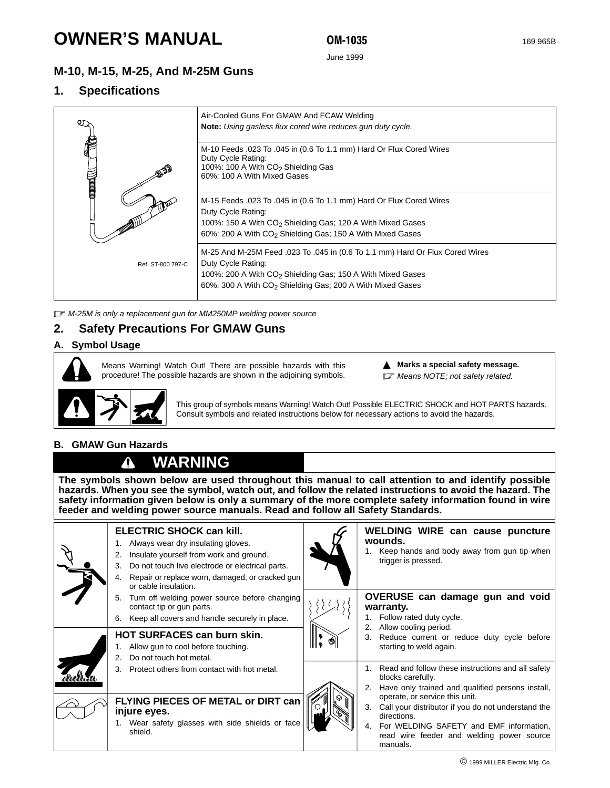# **OWNER'S MANUAL**

OM-1035

June 1999

## **M-10, M-15, M-25, And M-25M Guns**

### **1. Specifications**

|                   | Air-Cooled Guns For GMAW And FCAW Welding<br>Note: Using gasless flux cored wire reduces gun duty cycle.                                                                                                                                              |
|-------------------|-------------------------------------------------------------------------------------------------------------------------------------------------------------------------------------------------------------------------------------------------------|
| <b>Command</b>    | M-10 Feeds .023 To .045 in (0.6 To 1.1 mm) Hard Or Flux Cored Wires<br>Duty Cycle Rating:<br>100%: 100 A With CO <sub>2</sub> Shielding Gas<br>60%: 100 A With Mixed Gases                                                                            |
|                   | M-15 Feeds .023 To .045 in (0.6 To 1.1 mm) Hard Or Flux Cored Wires<br>Duty Cycle Rating:<br>100%: 150 A With CO <sub>2</sub> Shielding Gas; 120 A With Mixed Gases<br>60%: 200 A With CO <sub>2</sub> Shielding Gas; 150 A With Mixed Gases          |
| Ref. ST-800 797-C | M-25 And M-25M Feed .023 To .045 in (0.6 To 1.1 mm) Hard Or Flux Cored Wires<br>Duty Cycle Rating:<br>100%: 200 A With CO <sub>2</sub> Shielding Gas; 150 A With Mixed Gases<br>60%: 300 A With CO <sub>2</sub> Shielding Gas; 200 A With Mixed Gases |

**IF M-25M is only a replacement gun for MM250MP welding power source** 

### **2. Safety Precautions For GMAW Guns**

### **A. Symbol Usage**



Means Warning! Watch Out! There are possible hazards with this procedure! The possible hazards are shown in the adjoining symbols.



This group of symbols means Warning! Watch Out! Possible ELECTRIC SHOCK and HOT PARTS hazards. Consult symbols and related instructions below for necessary actions to avoid the hazards.

**A** Marks a special safety message. **F** Means NOTE; not safety related.

### **B. GMAW Gun Hazards**

#### **WARNING** Λ

**The symbols shown below are used throughout this manual to call attention to and identify possible hazards. When you see the symbol, watch out, and follow the related instructions to avoid the hazard. The safety information given below is only a summary of the more complete safety information found in wire feeder and welding power source manuals. Read and follow all Safety Standards.**

**ELECTRIC SHOCK can kill.** 1. Always wear dry insulating gloves. 2. Insulate yourself from work and ground. 3. Do not touch live electrode or electrical parts. 4. Repair or replace worn, damaged, or cracked gun or cable insulation. 5. Turn off welding power source before changing contact tip or gun parts. 6. Keep all covers and handle securely in place. **HOT SURFACES can burn skin.** 1. Allow gun to cool before touching. 2. Do not touch hot metal. 3. Protect others from contact with hot metal. **FLYING PIECES OF METAL or DIRT can injure eyes.** 1. Wear safety glasses with side shields or face shield. **WELDING WIRE can cause puncture wounds.** 1. Keep hands and body away from gun tip when trigger is pressed. **OVERUSE can damage gun and void warranty.** 1. Follow rated duty cycle. 2. Allow cooling period. 3. Reduce current or reduce duty cycle before starting to weld again. 1. Read and follow these instructions and all safety blocks carefully. 2. Have only trained and qualified persons install, operate, or service this unit. 3. Call your distributor if you do not understand the directions. 4. For WELDING SAFETY and EMF information, read wire feeder and welding power source manuals.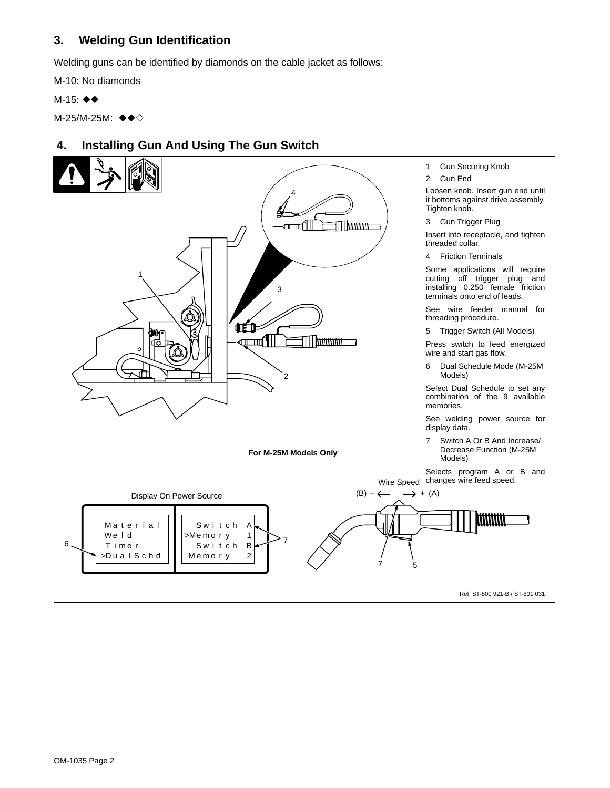# **3. Welding Gun Identification**

Welding guns can be identified by diamonds on the cable jacket as follows:

M-10: No diamonds

M-15: ♦◆

M-25/M-25M: ◆◆◇

# **4. Installing Gun And Using The Gun Switch**

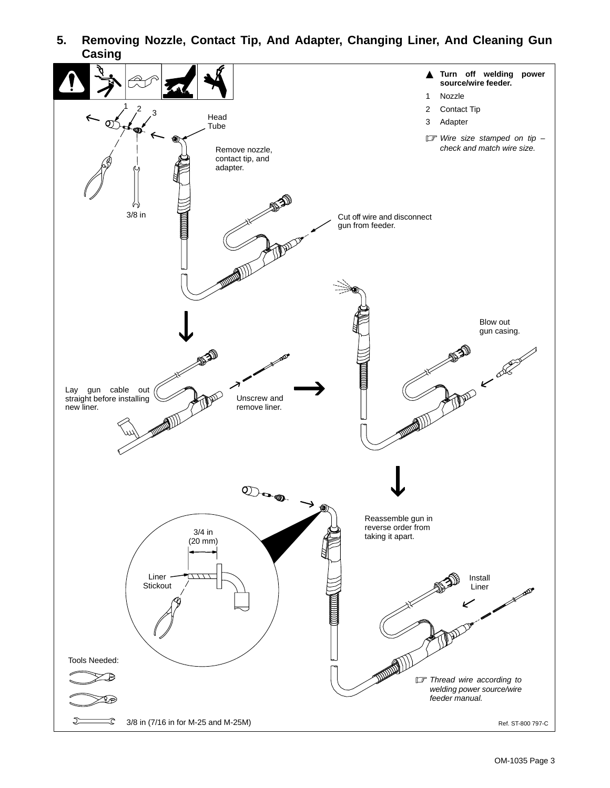

**5. Removing Nozzle, Contact Tip, And Adapter, Changing Liner, And Cleaning Gun Casing**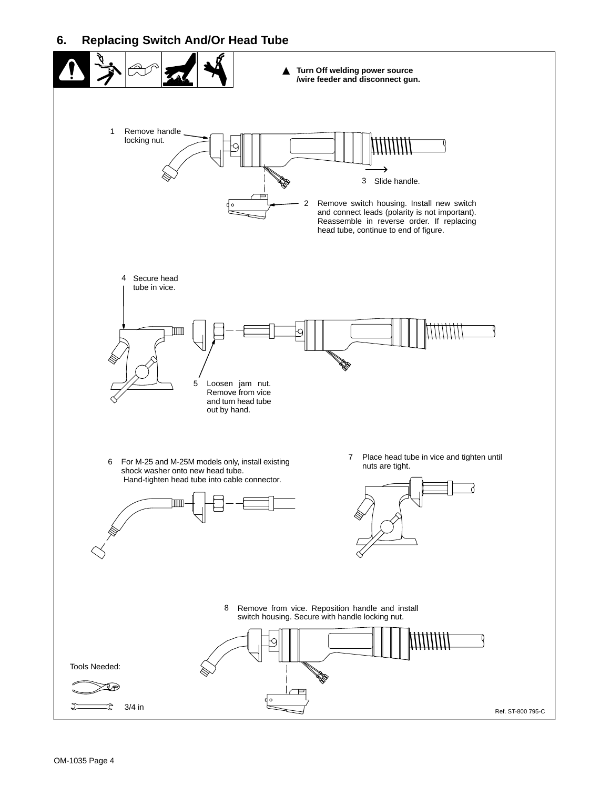### **6. Replacing Switch And/Or Head Tube**

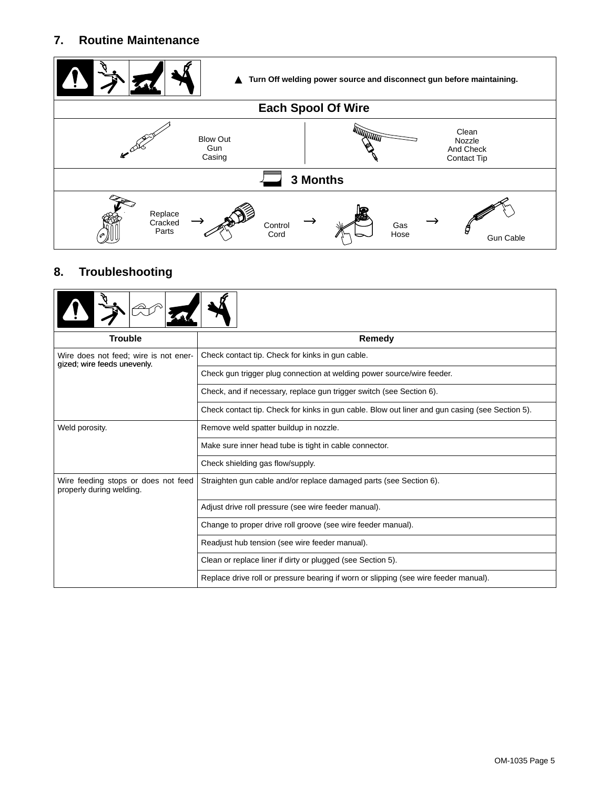# **7. Routine Maintenance**



# **8. Troubleshooting**

| <b>Trouble</b>                                                       | Remedy                                                                                          |  |  |  |  |
|----------------------------------------------------------------------|-------------------------------------------------------------------------------------------------|--|--|--|--|
| Wire does not feed; wire is not ener-<br>gized; wire feeds unevenly. | Check contact tip. Check for kinks in gun cable.                                                |  |  |  |  |
|                                                                      | Check gun trigger plug connection at welding power source/wire feeder.                          |  |  |  |  |
|                                                                      | Check, and if necessary, replace gun trigger switch (see Section 6).                            |  |  |  |  |
|                                                                      | Check contact tip. Check for kinks in gun cable. Blow out liner and gun casing (see Section 5). |  |  |  |  |
| Weld porosity.                                                       | Remove weld spatter buildup in nozzle.                                                          |  |  |  |  |
|                                                                      | Make sure inner head tube is tight in cable connector.                                          |  |  |  |  |
|                                                                      | Check shielding gas flow/supply.                                                                |  |  |  |  |
| Wire feeding stops or does not feed<br>properly during welding.      | Straighten gun cable and/or replace damaged parts (see Section 6).                              |  |  |  |  |
|                                                                      | Adjust drive roll pressure (see wire feeder manual).                                            |  |  |  |  |
|                                                                      | Change to proper drive roll groove (see wire feeder manual).                                    |  |  |  |  |
|                                                                      | Readjust hub tension (see wire feeder manual).                                                  |  |  |  |  |
|                                                                      | Clean or replace liner if dirty or plugged (see Section 5).                                     |  |  |  |  |
|                                                                      | Replace drive roll or pressure bearing if worn or slipping (see wire feeder manual).            |  |  |  |  |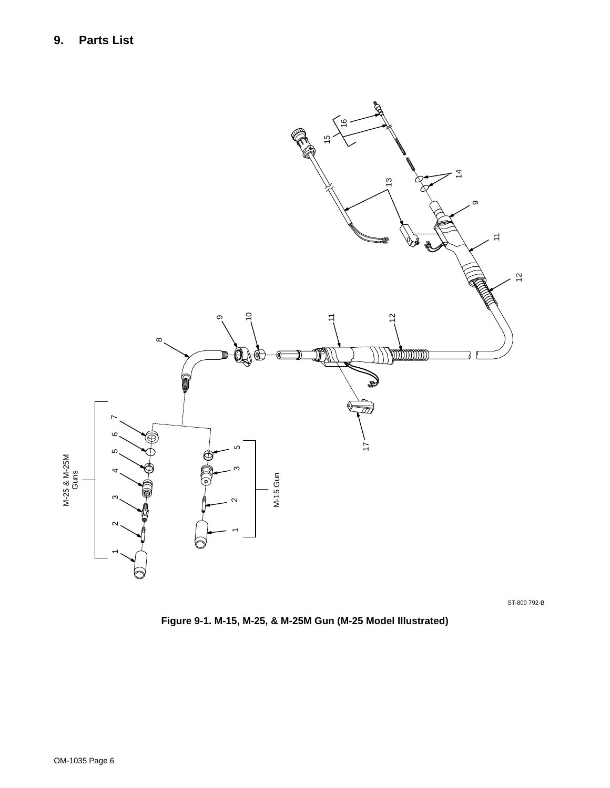

ST-800 792-B

**Figure 9-1. M-15, M-25, & M-25M Gun (M-25 Model Illustrated)**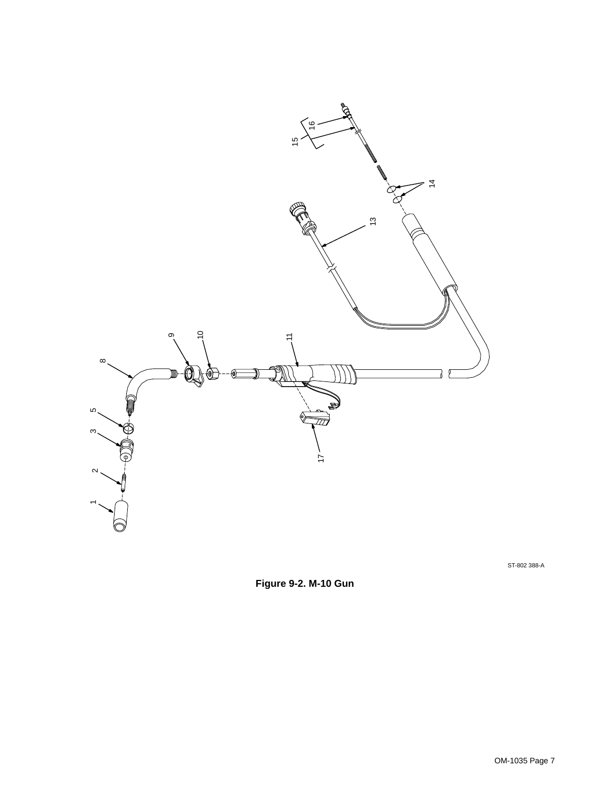

ST-802 388-A

**Figure 9-2. M-10 Gun**